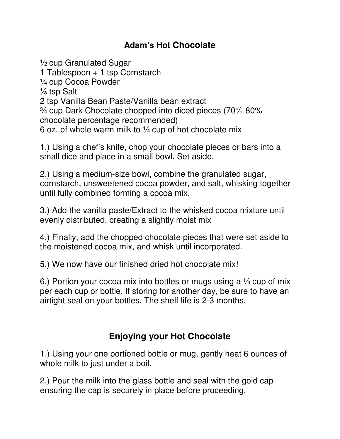## **Adam's Hot Chocolate**

½ cup Granulated Sugar 1 Tablespoon + 1 tsp Cornstarch ¼ cup Cocoa Powder ⅛ tsp Salt 2 tsp Vanilla Bean Paste/Vanilla bean extract ¾ cup Dark Chocolate chopped into diced pieces (70%-80% chocolate percentage recommended) 6 oz. of whole warm milk to  $\frac{1}{4}$  cup of hot chocolate mix

1.) Using a chef's knife, chop your chocolate pieces or bars into a small dice and place in a small bowl. Set aside.

2.) Using a medium-size bowl, combine the granulated sugar, cornstarch, unsweetened cocoa powder, and salt, whisking together until fully combined forming a cocoa mix.

3.) Add the vanilla paste/Extract to the whisked cocoa mixture until evenly distributed, creating a slightly moist mix

4.) Finally, add the chopped chocolate pieces that were set aside to the moistened cocoa mix, and whisk until incorporated.

5.) We now have our finished dried hot chocolate mix!

6.) Portion your cocoa mix into bottles or mugs using a  $\frac{1}{4}$  cup of mix per each cup or bottle. If storing for another day, be sure to have an airtight seal on your bottles. The shelf life is 2-3 months.

## **Enjoying your Hot Chocolate**

1.) Using your one portioned bottle or mug, gently heat 6 ounces of whole milk to just under a boil.

2.) Pour the milk into the glass bottle and seal with the gold cap ensuring the cap is securely in place before proceeding.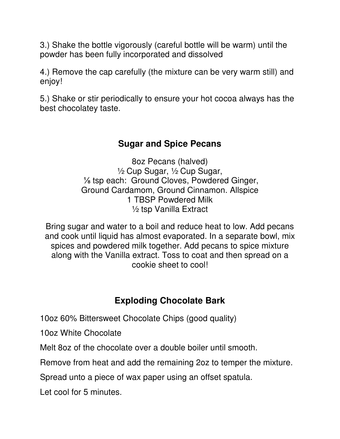3.) Shake the bottle vigorously (careful bottle will be warm) until the powder has been fully incorporated and dissolved

4.) Remove the cap carefully (the mixture can be very warm still) and enjoy!

5.) Shake or stir periodically to ensure your hot cocoa always has the best chocolatey taste.

## **Sugar and Spice Pecans**

8oz Pecans (halved) ½ Cup Sugar, ½ Cup Sugar, ⅛ tsp each: Ground Cloves, Powdered Ginger, Ground Cardamom, Ground Cinnamon. Allspice 1 TBSP Powdered Milk ½ tsp Vanilla Extract

Bring sugar and water to a boil and reduce heat to low. Add pecans and cook until liquid has almost evaporated. In a separate bowl, mix spices and powdered milk together. Add pecans to spice mixture along with the Vanilla extract. Toss to coat and then spread on a cookie sheet to cool!

## **Exploding Chocolate Bark**

10oz 60% Bittersweet Chocolate Chips (good quality)

10oz White Chocolate

Melt 8oz of the chocolate over a double boiler until smooth.

Remove from heat and add the remaining 2oz to temper the mixture.

Spread unto a piece of wax paper using an offset spatula.

Let cool for 5 minutes.